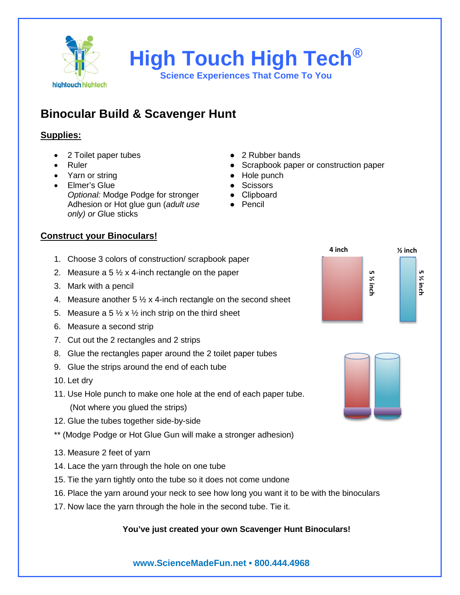

**High Touch High Tech®**

**Science Experiences That Come To You**

# **Binocular Build & Scavenger Hunt**

### **Supplies:**

- 2 Toilet paper tubes **•** 2 Rubber bands
- 
- Yarn or string extensive the Hole punch
- Elmer's Glue **by Community** Scissors Optional: Modge Podge for stronger **•** Clipboard Adhesion or Hot glue gun (*adult use ●* Pencil *only) or G*lue sticks
- 
- **Scrapbook paper or construction paper** Scrapbook paper or construction paper
	-
	-
	-
	-

## **Construct your Binoculars!**

- 1. Choose 3 colors of construction/ scrapbook paper
- 2. Measure a 5  $\frac{1}{2}$  x 4-inch rectangle on the paper
- 3. Mark with a pencil
- 4. Measure another  $5\frac{1}{2}$  x 4-inch rectangle on the second sheet
- 5. Measure a 5  $\frac{1}{2}$  x  $\frac{1}{2}$  inch strip on the third sheet
- 6. Measure a second strip
- 7. Cut out the 2 rectangles and 2 strips
- 8. Glue the rectangles paper around the 2 toilet paper tubes
- 9. Glue the strips around the end of each tube
- 10. Let dry
- 11. Use Hole punch to make one hole at the end of each paper tube.
	- (Not where you glued the strips)
- 12. Glue the tubes together side-by-side
- \*\* (Modge Podge or Hot Glue Gun will make a stronger adhesion)
- 13. Measure 2 feet of yarn
- 14. Lace the yarn through the hole on one tube
- 15. Tie the yarn tightly onto the tube so it does not come undone
- 16. Place the yarn around your neck to see how long you want it to be with the binoculars
- 17. Now lace the yarn through the hole in the second tube. Tie it.

## **You've just created your own Scavenger Hunt Binoculars!**





**www.ScienceMadeFun.net • 800.444.4968**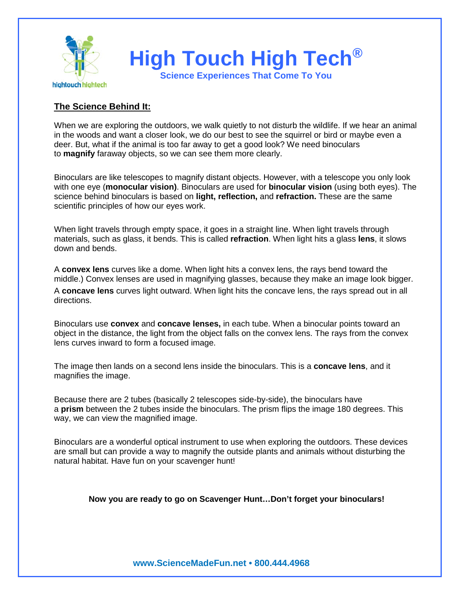

#### **The Science Behind It:**

When we are exploring the outdoors, we walk quietly to not disturb the wildlife. If we hear an animal in the woods and want a closer look, we do our best to see the squirrel or bird or maybe even a deer. But, what if the animal is too far away to get a good look? We need binoculars to **magnify** faraway objects, so we can see them more clearly.

Binoculars are like telescopes to magnify distant objects. However, with a telescope you only look with one eye (**monocular vision)**. Binoculars are used for **binocular vision** (using both eyes). The science behind binoculars is based on **light, reflection,** and **refraction.** These are the same scientific principles of how our eyes work.

When light travels through empty space, it goes in a straight line. When light travels through materials, such as glass, it bends. This is called **refraction**. When light hits a glass **lens**, it slows down and bends.

A **convex lens** curves like a dome. When light hits a convex lens, the rays bend toward the middle.) Convex lenses are used in magnifying glasses, because they make an image look bigger. A **concave lens** curves light outward. When light hits the concave lens, the rays spread out in all directions.

Binoculars use **convex** and **concave lenses,** in each tube. When a binocular points toward an object in the distance, the light from the object falls on the convex lens. The rays from the convex lens curves inward to form a focused image.

The image then lands on a second lens inside the binoculars. This is a **concave lens**, and it magnifies the image.

Because there are 2 tubes (basically 2 telescopes side-by-side), the binoculars have a **prism** between the 2 tubes inside the binoculars. The prism flips the image 180 degrees. This way, we can view the magnified image.

Binoculars are a wonderful optical instrument to use when exploring the outdoors. These devices are small but can provide a way to magnify the outside plants and animals without disturbing the natural habitat. Have fun on your scavenger hunt!

**Now you are ready to go on Scavenger Hunt…Don't forget your binoculars!**

**www.ScienceMadeFun.net • 800.444.4968**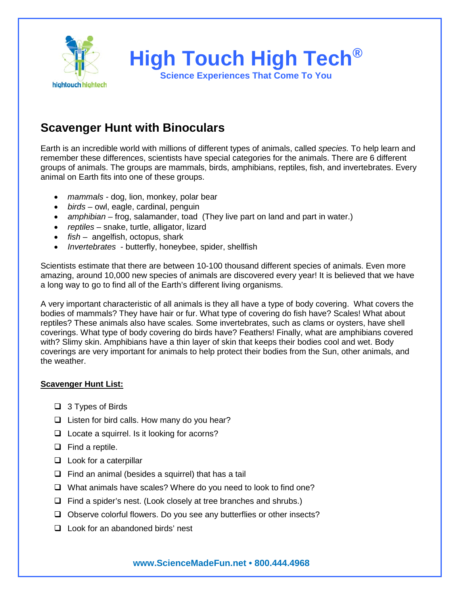

## **Scavenger Hunt with Binoculars**

Earth is an incredible world with millions of different types of animals, called *species.* To help learn and remember these differences, scientists have special categories for the animals. There are 6 different groups of animals. The groups are mammals, birds, amphibians, reptiles, fish, and invertebrates. Every animal on Earth fits into one of these groups.

- *mammals -* dog, lion, monkey, polar bear
- *birds* owl, eagle, cardinal, penguin
- *amphibian* frog, salamander, toad (They live part on land and part in water.)
- *reptiles*  snake, turtle, alligator, lizard
- *fish* angelfish, octopus, shark
- *Invertebrates*  butterfly, honeybee, spider, shellfish

Scientists estimate that there are between 10-100 thousand different species of animals. Even more amazing, around 10,000 new species of animals are discovered every year! It is believed that we have a long way to go to find all of the Earth's different living organisms.

A very important characteristic of all animals is they all have a type of body covering. What covers the bodies of mammals? They have hair or fur. What type of covering do fish have? Scales! What about reptiles? These animals also have scales*.* Some invertebrates, such as clams or oysters, have shell coverings. What type of body covering do birds have? Feathers! Finally, what are amphibians covered with? Slimy skin. Amphibians have a thin layer of skin that keeps their bodies cool and wet. Body coverings are very important for animals to help protect their bodies from the Sun, other animals, and the weather.

#### **Scavenger Hunt List:**

- $\Box$  3 Types of Birds
- $\Box$  Listen for bird calls. How many do you hear?
- $\Box$  Locate a squirrel. Is it looking for acorns?
- $\Box$  Find a reptile.
- $\Box$  Look for a caterpillar
- $\Box$  Find an animal (besides a squirrel) that has a tail
- □ What animals have scales? Where do you need to look to find one?
- $\Box$  Find a spider's nest. (Look closely at tree branches and shrubs.)
- $\Box$  Observe colorful flowers. Do you see any butterflies or other insects?
- □ Look for an abandoned birds' nest